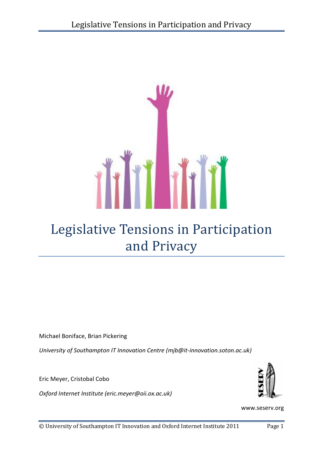

# Legislative Tensions in Participation and Privacy

Michael Boniface, Brian Pickering

*University of Southampton IT Innovation Centre (mjb@it-innovation.soton.ac.uk)* 

Eric Meyer, Cristobal Cobo

*Oxford Internet Institute (eric.meyer@oii.ox.ac.uk)*



www.seserv.org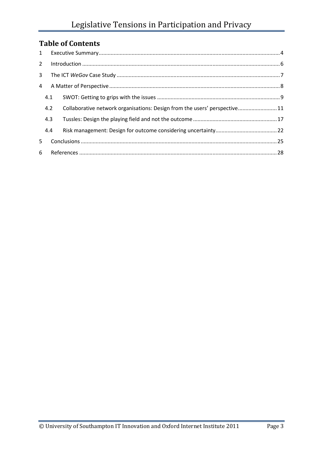# **Table of Contents**

| 1              |     |                                                                           |  |
|----------------|-----|---------------------------------------------------------------------------|--|
| $\overline{2}$ |     |                                                                           |  |
| 3              |     |                                                                           |  |
| $\overline{4}$ |     |                                                                           |  |
|                | 4.1 |                                                                           |  |
|                | 4.2 | Collaborative network organisations: Design from the users' perspective11 |  |
|                | 4.3 |                                                                           |  |
|                | 4.4 |                                                                           |  |
| 5              |     |                                                                           |  |
|                |     |                                                                           |  |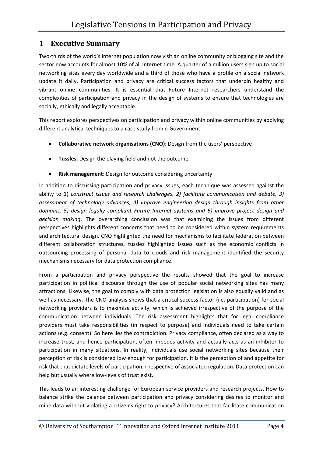### **1 Executive Summary**

Two-thirds of the world's Internet population now visit an online community or blogging site and the sector now accounts for almost 10% of all Internet time. A quarter of a million users sign up to social networking sites every day worldwide and a third of those who have a profile on a social network update it daily. Participation and privacy are critical success factors that underpin healthy and vibrant online communities. It is essential that Future Internet researchers understand the complexities of participation and privacy in the design of systems to ensure that technologies are socially, ethically and legally acceptable.

This report explores perspectives on participation and privacy within online communities by applying different analytical techniques to a case study from e-Government.

- **Collaborative network organisations (CNO)**: Design from the users' perspective
- **Tussles**: Design the playing field and not the outcome
- **Risk management**: Design for outcome considering uncertainty

In addition to discussing participation and privacy issues, each technique was assessed against the ability to 1) *construct issues and research challenges, 2) facilitate communication and debate, 3) assessment of technology advances, 4) improve engineering design through insights from other domains, 5) design legally compliant Future Internet systems and 6) improve project design and decision making*. The overarching conclusion was that examining the issues from different perspectives highlights different concerns that need to be considered within system requirements and architectural design. CNO highlighted the need for mechanisms to facilitate federation between different collaboration structures, tussles highlighted issues such as the economic conflicts in outsourcing processing of personal data to clouds and risk management identified the security mechanisms necessary for data protection compliance.

From a participation and privacy perspective the results showed that the goal to increase participation in political discourse through the use of popular social networking sites has many attractions. Likewise, the goal to comply with data protection legislation is also equally valid and as well as necessary. The CNO analysis shows that a critical success factor (i.e. participation) for social networking providers is to maximise activity, which is achieved irrespective of the purpose of the communication between individuals. The risk assessment highlights that for legal compliance providers must take responsibilities (in respect to purpose) and individuals need to take certain actions (e.g. consent). So here lies the contradiction. Privacy compliance, often declared as a way to increase trust, and hence participation, often impedes activity and actually acts as an inhibiter to participation in many situations. In reality, individuals use social networking sites because their perception of risk is considered low enough for participation. It is the perception of and appetite for risk that that dictate levels of participation, irrespective of associated regulation. Data protection can help but usually where low-levels of trust exist.

This leads to an interesting challenge for European service providers and research projects. How to balance strike the balance between participation and privacy considering desires to monitor and mine data without violating a citizen's right to privacy? Architectures that facilitate communication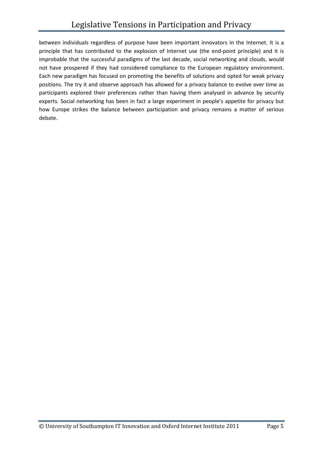between individuals regardless of purpose have been important innovators in the Internet. It is a principle that has contributed to the explosion of Internet use (the end-point principle) and it is improbable that the successful paradigms of the last decade, social networking and clouds, would not have prospered if they had considered compliance to the European regulatory environment. Each new paradigm has focused on promoting the benefits of solutions and opted for weak privacy positions. The try it and observe approach has allowed for a privacy balance to evolve over time as participants explored their preferences rather than having them analysed in advance by security experts. Social networking has been in fact a large experiment in people's appetite for privacy but how Europe strikes the balance between participation and privacy remains a matter of serious debate.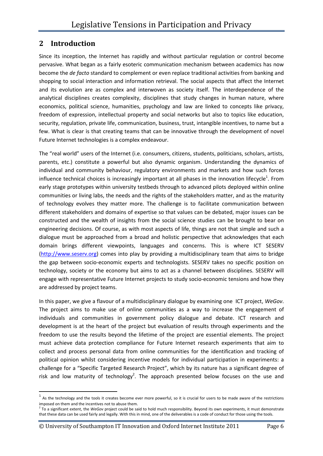### **2 Introduction**

<u>.</u>

Since its inception, the Internet has rapidly and without particular regulation or control become pervasive. What began as a fairly esoteric communication mechanism between academics has now become the *de facto* standard to complement or even replace traditional activities from banking and shopping to social interaction and information retrieval. The social aspects that affect the Internet and its evolution are as complex and interwoven as society itself. The interdependence of the analytical disciplines creates complexity, disciplines that study changes in human nature, where economics, political science, humanities, psychology and law are linked to concepts like privacy, freedom of expression, intellectual property and social networks but also to topics like education, security, regulation, private life, communication, business, trust, intangible incentives, to name but a few. What is clear is that creating teams that can be innovative through the development of novel Future Internet technologies is a complex endeavour.

The "real world" users of the Internet (i.e. consumers, citizens, students, politicians, scholars, artists, parents, etc.) constitute a powerful but also dynamic organism. Understanding the dynamics of individual and community behaviour, regulatory environments and markets and how such forces influence technical choices is increasingly important at all phases in the innovation lifecycle<sup>1</sup>. From early stage prototypes within university testbeds through to advanced pilots deployed within online communities or living labs, the needs and the rights of the stakeholders matter, and as the maturity of technology evolves they matter more. The challenge is to facilitate communication between different stakeholders and domains of expertise so that values can be debated, major issues can be constructed and the wealth of insights from the social science studies can be brought to bear on engineering decisions. Of course, as with most aspects of life, things are not that simple and such a dialogue must be approached from a broad and holistic perspective that acknowledges that each domain brings different viewpoints, languages and concerns. This is where ICT SESERV (http://www.seserv.org) comes into play by providing a multidisciplinary team that aims to bridge the gap between socio-economic experts and technologists. SESERV takes no specific position on technology, society or the economy but aims to act as a channel between disciplines. SESERV will engage with representative Future Internet projects to study socio-economic tensions and how they are addressed by project teams.

In this paper, we give a flavour of a multidisciplinary dialogue by examining one ICT project, *WeGov*. The project aims to make use of online communities as a way to increase the engagement of individuals and communities in government policy dialogue and debate. ICT research and development is at the heart of the project but evaluation of results through experiments and the freedom to use the results beyond the lifetime of the project are essential elements. The project must achieve data protection compliance for Future Internet research experiments that aim to collect and process personal data from online communities for the identification and tracking of political opinion whilst considering incentive models for individual participation in experiments: a challenge for a "Specific Targeted Research Project", which by its nature has a significant degree of risk and low maturity of technology<sup>2</sup>. The approach presented below focuses on the use and

© University of Southampton IT Innovation and Oxford Internet Institute 2011 Page 6

 $1$  As the technology and the tools it creates become ever more powerful, so it is crucial for users to be made aware of the restrictions imposed on them and the incentives not to abuse them.

<sup>2</sup> To a significant extent, the *WeGov* project could be said to hold much responsibility. Beyond its own experiments, it must demonstrate that these data can be used fairly and legally. With this in mind, one of the deliverables is a code of conduct for those using the tools.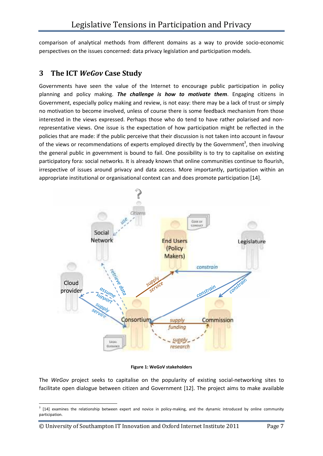comparison of analytical methods from different domains as a way to provide socio-economic perspectives on the issues concerned: data privacy legislation and participation models.

### **3 The ICT** *WeGov* **Case Study**

Governments have seen the value of the Internet to encourage public participation in policy planning and policy making. *The challenge is how to motivate them*. Engaging citizens in Government, especially policy making and review, is not easy: there may be a lack of trust or simply no motivation to become involved, unless of course there is some feedback mechanism from those interested in the views expressed. Perhaps those who do tend to have rather polarised and nonrepresentative views. One issue is the expectation of how participation might be reflected in the policies that are made: if the public perceive that their discussion is not taken into account in favour of the views or recommendations of experts employed directly by the Government<sup>3</sup>, then involving the general public in government is bound to fail. One possibility is to try to capitalise on existing participatory fora: social networks. It is already known that online communities continue to flourish, irrespective of issues around privacy and data access. More importantly, participation within an appropriate institutional or organisational context can and does promote participation [14].



**Figure 1: WeGoV stakeholders** 

The *WeGov* project seeks to capitalise on the popularity of existing social-networking sites to facilitate open dialogue between citizen and Government [12]. The project aims to make available

 $\overline{\phantom{0}}$ 

<sup>&</sup>lt;sup>3</sup> [14] examines the relationship between expert and novice in policy-making, and the dynamic introduced by online community participation.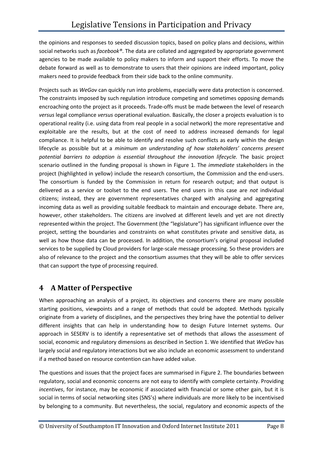the opinions and responses to seeded discussion topics, based on policy plans and decisions, within social networks such as *facebook®*. The data are collated and aggregated by appropriate government agencies to be made available to policy makers to inform and support their efforts. To move the debate forward as well as to demonstrate to users that their opinions are indeed important, policy makers need to provide feedback from their side back to the online community.

Projects such as *WeGov* can quickly run into problems, especially were data protection is concerned. The constraints imposed by such regulation introduce competing and sometimes opposing demands encroaching onto the project as it proceeds. Trade-offs must be made between the level of research *versus* legal compliance *versus* operational evaluation. Basically, the closer a projects evaluation is to operational reality (i.e. using data from real people in a social network) the more representative and exploitable are the results, but at the cost of need to address increased demands for legal compliance. It is helpful to be able to identify and resolve such conflicts as early within the design lifecycle as possible but at a *minimum an understanding of how stakeholders' concerns present potential barriers to adoption is essential throughout the innovation lifecycle.* The basic project scenario outlined in the funding proposal is shown in Figure 1. The *immediate* stakeholders in the project (highlighted in yellow) include the research consortium, the Commission and the end-users. The consortium is funded by the Commission in return for research output; and that output is delivered as a service or toolset to the end users. The end users in this case are *not* individual citizens; instead, they are government representatives charged with analysing and aggregating incoming data as well as providing suitable feedback to maintain and encourage debate. There are, however, other stakeholders. The citizens are involved at different levels and yet are not directly represented within the project. The Government (the "legislature") has significant influence over the project, setting the boundaries and constraints on what constitutes private and sensitive data, as well as how those data can be processed. In addition, the consortium's original proposal included services to be supplied by Cloud providers for large-scale message processing. So these providers are also of relevance to the project and the consortium assumes that they will be able to offer services that can support the type of processing required.

### **4 A Matter of Perspective**

When approaching an analysis of a project, its objectives and concerns there are many possible starting positions, viewpoints and a range of methods that could be adopted. Methods typically originate from a variety of disciplines, and the perspectives they bring have the potential to deliver different insights that can help in understanding how to design Future Internet systems. Our approach in SESERV is to identify a representative set of methods that allows the assessment of social, economic and regulatory dimensions as described in Section 1. We identified that *WeGov* has largely social and regulatory interactions but we also include an economic assessment to understand if a method based on resource contention can have added value.

The questions and issues that the project faces are summarised in Figure 2. The boundaries between regulatory, social and economic concerns are not easy to identify with complete certainty. Providing *incentives*, for instance, may be economic if associated with financial or some other gain, but it is social in terms of social networking sites (SNS's) where individuals are more likely to be incentivised by belonging to a community. But nevertheless, the social, regulatory and economic aspects of the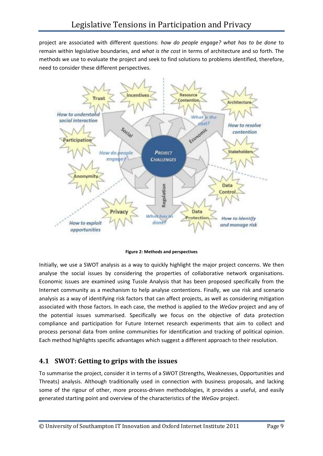project are associated with different questions: *how do people engage? what has to be done* to remain within legislative boundaries, and *what is the cost* in terms of architecture and so forth. The methods we use to evaluate the project and seek to find solutions to problems identified, therefore, need to consider these different perspectives.



**Figure 2: Methods and perspectives** 

Initially, we use a SWOT analysis as a way to quickly highlight the major project concerns. We then analyse the social issues by considering the properties of collaborative network organisations. Economic issues are examined using Tussle Analysis that has been proposed specifically from the Internet community as a mechanism to help analyse contentions. Finally, we use risk and scenario analysis as a way of identifying risk factors that can affect projects, as well as considering mitigation associated with those factors. In each case, the method is applied to the *WeGov* project and any of the potential issues summarised. Specifically we focus on the objective of data protection compliance and participation for Future Internet research experiments that aim to collect and process personal data from online communities for identification and tracking of political opinion. Each method highlights specific advantages which suggest a different approach to their resolution.

### **4.1 SWOT: Getting to grips with the issues**

To summarise the project, consider it in terms of a SWOT (Strengths, Weaknesses, Opportunities and Threats) analysis. Although traditionally used in connection with business proposals, and lacking some of the rigour of other, more process-driven methodologies, it provides a useful, and easily generated starting point and overview of the characteristics of the *WeGov* project.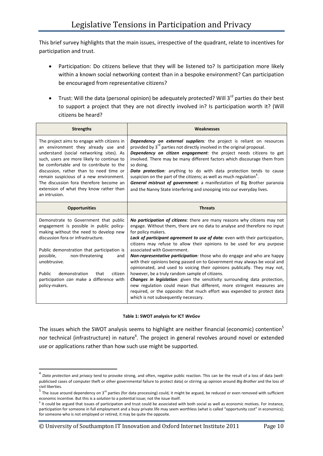This brief survey highlights that the main issues, irrespective of the quadrant, relate to incentives for participation and trust.

- Participation: Do citizens believe that they will be listened to? Is participation more likely within a known social networking context than in a bespoke environment? Can participation be encouraged from representative citizens?
- Trust: Will the data (personal opinion) be adequately protected? Will 3<sup>rd</sup> parties do their best to support a project that they are not directly involved in? Is participation worth it? (Will citizens be heard?

| <b>Strengths</b>                                                                                                                                                                                                                                                                                                                                                                                                     | Weaknesses                                                                                                                                                                                                                                                                                                                                                                                                                                                                                                                                                                                                                                                                                                                                                                                                                                                                                                                                             |
|----------------------------------------------------------------------------------------------------------------------------------------------------------------------------------------------------------------------------------------------------------------------------------------------------------------------------------------------------------------------------------------------------------------------|--------------------------------------------------------------------------------------------------------------------------------------------------------------------------------------------------------------------------------------------------------------------------------------------------------------------------------------------------------------------------------------------------------------------------------------------------------------------------------------------------------------------------------------------------------------------------------------------------------------------------------------------------------------------------------------------------------------------------------------------------------------------------------------------------------------------------------------------------------------------------------------------------------------------------------------------------------|
| The project aims to engage with citizens in<br>an environment they already use and<br>understand (social networking sites). As<br>such, users are more likely to continue to<br>be comfortable and to contribute to the<br>discussion, rather than to need time or<br>remain suspicious of a new environment.<br>The discussion fora therefore become an<br>extension of what they know rather than<br>an intrusion. | Dependency on external suppliers: the project is reliant on resources<br>provided by 3 <sup>rd</sup> parties not directly involved in the original proposal.<br>Dependency on citizen engagement: the project needs citizens to get<br>involved. There may be many different factors which discourage them from<br>so doing.<br><b>Data protection:</b> anything to do with data protection tends to cause<br>suspicion on the part of the citizens; as well as much regulation <sup>7</sup> .<br>General mistrust of government: a manifestation of Big Brother paranoia<br>and the Nanny State interfering and snooping into our everyday lives.                                                                                                                                                                                                                                                                                                     |
| <b>Opportunities</b>                                                                                                                                                                                                                                                                                                                                                                                                 | <b>Threats</b>                                                                                                                                                                                                                                                                                                                                                                                                                                                                                                                                                                                                                                                                                                                                                                                                                                                                                                                                         |
| Demonstrate to Government that public<br>engagement is possible in public policy-<br>making without the need to develop new<br>discussion fora or infrastructure.<br>Public demonstration that participation is<br>possible,<br>non-threatening<br>and<br>unobtrusive.<br>Public<br>demonstration<br>that<br>citizen<br>participation can make a difference with<br>policy-makers.                                   | No participation of citizens: there are many reasons why citizens may not<br>engage. Without them, there are no data to analyse and therefore no input<br>for policy makers.<br>Lack of participant agreement to use of data: even with their participation,<br>citizens may refuse to allow their opinions to be used for any purpose<br>associated with Government.<br><b>Non-representative participation</b> : those who do engage and who are happy<br>with their opinions being passed on to Government may always be vocal and<br>opinionated, and used to voicing their opinions publically. They may not,<br>however, be a truly random sample of citizens.<br><b>Changes in legislation:</b> given the sensitivity surrounding data protection,<br>new regulation could mean that different, more stringent measures are<br>required, or the opposite: that much effort was expended to protect data<br>which is not subsequently necessary. |

#### **Table 1: SWOT analysis for ICT** *WeGov*

The issues which the SWOT analysis seems to highlight are neither financial (economic) contention<sup>5</sup> nor technical (infrastructure) in nature<sup>6</sup>. The project in general revolves around novel or extended *use* or applications rather than how such use might be supported.

-

<sup>4</sup> *Data protection* and *privacy* tend to provoke strong, and often, negative public reaction. This can be the result of a loss of data (wellpublicised cases of computer theft or other governmental failure to protect data) or stirring up opinion around *Big Brother* and the loss of civil liberties.<br><sup>5</sup> The issue around dependency on 3<sup>rd</sup> parties (for data processing) could, it might be argued, be reduced or even removed with sufficient

economic incentive. But this is a *solution* to a potential issue; not the issue itself.

<sup>&</sup>lt;sup>6</sup> It could be argued that issues of participation and trust could be associated with both social as well as economic motives. For instance, participation for someone in full employment and a busy private life may seem worthless (what is called "opportunity cost" in economics); for someone who is not employed or retired, it may be quite the opposite.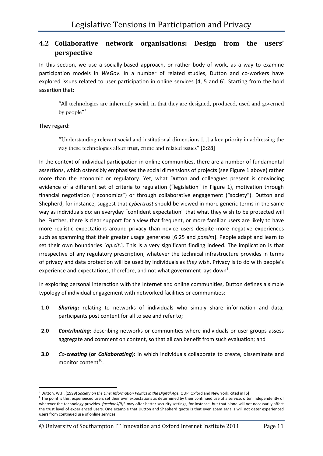### **4.2 Collaborative network organisations: Design from the users' perspective**

In this section, we use a socially-based approach, or rather body of work, as a way to examine participation models in *WeGov*. In a number of related studies, Dutton and co-workers have explored issues related to user participation in online services [4, 5 and 6]. Starting from the bold assertion that:

"All technologies are inherently social, in that they are designed, produced, used and governed by people"<sup>7</sup>

They regard:

-

"Understanding relevant social and institutional dimensions […] a key priority in addressing the way these technologies affect trust, crime and related issues" [6:28]

In the context of individual participation in online communities, there are a number of fundamental assertions, which ostensibly emphasises the social dimensions of projects (see Figure 1 above) rather more than the economic or regulatory. Yet, what Dutton and colleagues present is convincing evidence of a different set of criteria to regulation ("legislation" in Figure 1), motivation through financial negotiation ("economics") or through collaborative engagement ("society"). Dutton and Shepherd, for instance, suggest that *cybertrust* should be viewed in more generic terms in the same way as individuals do: an everyday "confident expectation" that what they wish to be protected will be. Further, there is clear support for a view that frequent, or more familiar users are likely to have more realistic expectations around privacy than novice users despite more negative experiences such as spamming that their greater usage generates [6:25 and *passim*]. People adapt and learn to set their own boundaries [*op.cit*.]. This is a very significant finding indeed. The implication is that irrespective of any regulatory prescription, whatever the technical infrastructure provides in terms of privacy and data protection will be used by individuals as *they* wish. Privacy is to do with people's experience and expectations, therefore, and not what government lays down<sup>8</sup>.

In exploring personal interaction with the Internet and online communities, Dutton defines a simple typology of individual engagement with networked facilities or communities:

- **1.0** *Sharing***:** relating to networks of individuals who simply share information and data; participants post content for all to see and refer to;
- **2.0** *Contributing***:** describing networks or communities where individuals or user groups assess aggregate and comment on content, so that all can benefit from such evaluation; and
- **3.0** *Co-creating* **(or** *Collaborating***):** in which individuals collaborate to create, disseminate and monitor content<sup>10</sup>.

© University of Southampton IT Innovation and Oxford Internet Institute 2011 Page 11

<sup>&</sup>lt;sup>7</sup> Dutton, W.H. (1999) *Society on the Line: Information Politics in the Digital Age, OUP, Oxford and New York; cited in [6]* 

 $8$  The point is this: experienced users set their own expectations as determined by their continued use of a service, often independently of whatever the technology provides. *facebook(R)®* may offer better security settings, for instance, but that alone will not necessarily affect the trust level of experienced users. One example that Dutton and Shepherd quote is that even spam eMails will not deter experienced users from continued use of online services.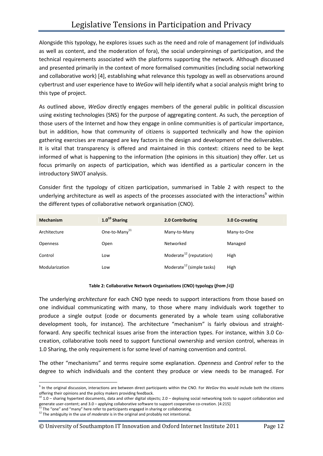Alongside this typology, he explores issues such as the need and role of management (of individuals as well as content, and the moderation of fora), the social underpinnings of participation, and the technical requirements associated with the platforms supporting the network. Although discussed and presented primarily in the context of more formalised communities (including social networking and collaborative work) [4], establishing what relevance this typology as well as observations around cybertrust and user experience have to *WeGov* will help identify what a social analysis might bring to this type of project.

As outlined above, *WeGov* directly engages members of the general public in political discussion using existing technologies (SNS) for the purpose of aggregating content. As such, the perception of those users of the Internet and how they engage in online communities is of particular importance, but in addition, how that community of citizens is supported technically and how the opinion gathering exercises are managed are key factors in the design and development of the deliverables. It is vital that transparency is offered and maintained in this context: citizens need to be kept informed of what is happening to the information (the opinions in this situation) they offer. Let us focus primarily on aspects of participation, which was identified as a particular concern in the introductory SWOT analysis.

Consider first the typology of citizen participation, summarised in Table 2 with respect to the underlying architecture as well as aspects of the processes associated with the interactions<sup>9</sup> within the different types of collaborative network organisation (CNO).

| <b>Mechanism</b> | $1.0^{10}$ Sharing        | 2.0 Contributing                      | 3.0 Co-creating |
|------------------|---------------------------|---------------------------------------|-----------------|
| Architecture     | One-to-Many <sup>11</sup> | Many-to-Many                          | Many-to-One     |
| <b>Openness</b>  | Open                      | Networked                             | Managed         |
| Control          | Low                       | Moderate <sup>12</sup> (reputation)   | High            |
| Modularization   | Low                       | Moderate <sup>12</sup> (simple tasks) | High            |

#### **Table 2: Collaborative Network Organisations (CNO) typology (***from [4])*

The underlying *architecture* for each CNO type needs to support interactions from those based on one individual communicating with many, to those where many individuals work together to produce a single output (code or documents generated by a whole team using collaborative development tools, for instance). The architecture "mechanism" is fairly obvious and straightforward. Any specific technical issues arise from the interaction types. For instance, within 3.0 Cocreation, collaborative tools need to support functional ownership and version control, whereas in 1.0 Sharing, the only requirement is for some level of naming convention and control.

The other "mechanisms" and terms require some explanation. *Openness* and *Control* refer to the degree to which individuals and the content they produce or view needs to be managed. For

© University of Southampton IT Innovation and Oxford Internet Institute 2011 Page 12

<sup>9</sup> In the original discussion, interactions are between direct participants within the CNO. For *WeGov* this would include both the citizens offering their opinions and the policy makers providing feedback.

 $10$  1.0 – sharing hypertext documents, data and other digital objects; 2.0 – deploying social networking tools to support collaboration and generate user-content; and 3.0 – applying collaborative software to support cooperative co-creation. [4:215]

 $11$  The "one" and "many" here refer to participants engaged in sharing or collaborating.

<sup>12</sup> The ambiguity in the use of *moderate* is in the original and probably not intentional.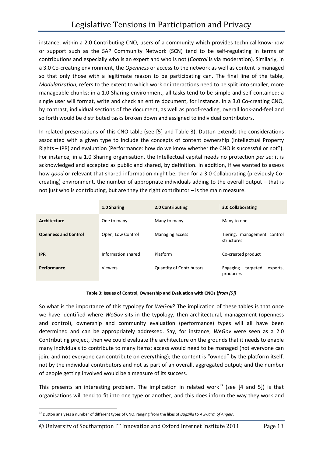instance, within a 2.0 Contributing CNO, users of a community which provides technical know-how or support such as the SAP Community Network (SCN) tend to be self-regulating in terms of contributions and especially who is an expert and who is not (*Control* is via moderation). Similarly, in a 3.0 Co-creating environment, the *Openness* or access to the network as well as content is managed so that only those with a legitimate reason to be participating can. The final line of the table, *Modularization*, refers to the extent to which work or interactions need to be split into smaller, more manageable chunks: in a 1.0 Sharing environment, all tasks tend to be simple and self-contained: a single user will format, write and check an entire document, for instance. In a 3.0 Co-creating CNO, by contrast, individual sections of the document, as well as proof-reading, overall look-and-feel and so forth would be distributed tasks broken down and assigned to individual contributors.

In related presentations of this CNO table (see [5] and Table 3), Dutton extends the considerations associated with a given type to include the concepts of content ownership (Intellectual Property Rights – IPR) and evaluation (Performance: how do we know whether the CNO is successful or not?). For instance, in a 1.0 Sharing organisation, the Intellectual capital needs no protection *per se*: it is acknowledged and accepted as public and shared, by definition. In addition, if we wanted to assess how *good* or relevant that shared information might be, then for a 3.0 Collaborating (previously Cocreating) environment, the number of appropriate individuals adding to the overall output – that is not just who is contributing, but are they the right contributor – is the main measure.

|                             | 1.0 Sharing        | 2.0 Contributing                | 3.0 Collaborating                             |
|-----------------------------|--------------------|---------------------------------|-----------------------------------------------|
| Architecture                | One to many        | Many to many                    | Many to one                                   |
| <b>Openness and Control</b> | Open, Low Control  | Managing access                 | Tiering, management control<br>structures     |
| <b>IPR</b>                  | Information shared | Platform                        | Co-created product                            |
| Performance                 | <b>Viewers</b>     | <b>Quantity of Contributors</b> | targeted<br>Engaging<br>experts,<br>producers |

#### **Table 3: Issues of Control, Ownership and Evaluation with CNOs (***from [5])*

So what is the importance of this typology for *WeGov*? The implication of these tables is that once we have identified where *WeGov* sits in the typology, then architectural, management (openness and control), ownership and community evaluation (performance) types will all have been determined and can be appropriately addressed. Say, for instance, *WeGov* were seen as a 2.0 Contributing project, then we could evaluate the architecture on the grounds that it needs to enable many individuals to contribute to many items; access would need to be managed (not everyone can join; and not everyone can contribute on everything); the content is "owned" by the platform itself, not by the individual contributors and not as part of an overall, aggregated output; and the number of people getting involved would be a measure of its success.

This presents an interesting problem. The implication in related work<sup>13</sup> (see [4 and 5]) is that organisations will tend to fit into one type or another, and this does inform the way they work and

<sup>13</sup> Dutton analyses a number of different types of CNO, ranging from the likes of *Bugzilla* to *A Swarm of Angels*.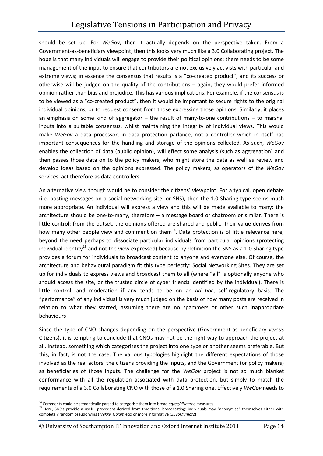should be set up. For *WeGov*, then it actually depends on the perspective taken. From a Government-as-beneficiary viewpoint, then this looks very much like a 3.0 Collaborating project. The hope is that many individuals will engage to provide their political opinions; there needs to be some management of the input to ensure that contributors are not exclusively activists with particular and extreme views; in essence the consensus that results is a "co-created product"; and its success or otherwise will be judged on the quality of the contributions – again, they would prefer informed opinion rather than bias and prejudice. This has various implications. For example, if the consensus is to be viewed as a "co-created product", then it would be important to secure rights to the original individual opinions, or to request consent from those expressing those opinions. Similarly, it places an emphasis on some kind of aggregator  $-$  the result of many-to-one contributions  $-$  to marshal inputs into a suitable consensus, whilst maintaining the integrity of individual views. This would make *WeGov* a data processor, in data protection parlance, not a controller which in itself has important consequences for the handling and storage of the opinions collected. As such, *WeGov* enables the collection of data (public opinion), will effect some analysis (such as aggregation) and then passes those data on to the policy makers, who might store the data as well as review and develop ideas based on the opinions expressed. The policy makers, as operators of the *WeGov* services, act therefore as data controllers.

An alternative view though would be to consider the citizens' viewpoint. For a typical, open debate (i.e. posting messages on a social networking site, or SNS), then the 1.0 Sharing type seems much more appropriate. An individual will express a view and this will be made available to many: the architecture should be one-to-many, therefore – a message board or chatroom or similar. There is little control; from the outset, the opinions offered are shared and public; their value derives from how many other people view and comment on them $^{14}$ . Data protection is of little relevance here, beyond the need perhaps to dissociate particular individuals from particular opinions (protecting individual identity<sup>15</sup> and not the view expressed) because by definition the SNS as a 1.0 Sharing type provides a forum for individuals to broadcast content to anyone and everyone else. Of course, the architecture and behavioural paradigm fit this type perfectly: Social Networking Sites. They are set up for individuals to express views and broadcast them to all (where "all" is optionally anyone who should access the site, or the trusted circle of cyber friends identified by the individual). There is little control, and moderation if any tends to be on an *ad hoc*, self-regulatory basis. The "performance" of any individual is very much judged on the basis of how many posts are received in relation to what they started, assuming there are no spammers or other such inappropriate behaviours .

Since the type of CNO changes depending on the perspective (Government-as-beneficiary *versus* Citizens), it is tempting to conclude that CNOs may not be the right way to approach the project at all. Instead, something which categorises the project into one type or another seems preferable. But this, in fact, is not the case. The various typologies highlight the different expectations of those involved as the real actors: the citizens providing the inputs, and the Government (or policy makers) as beneficiaries of those inputs. The challenge for the *WeGov* project is not so much blanket conformance with all the regulation associated with data protection, but simply to match the requirements of a 3.0 Collaborating CNO with those of a 1.0 Sharing one. Effectively *WeGov* needs to

© University of Southampton IT Innovation and Oxford Internet Institute 2011 Page 14

<sup>14</sup> Comments could be semantically parsed to categorise them into broad *agree/disagree* measures.

<sup>&</sup>lt;sup>15</sup> Here, SNS's provide a useful precedent derived from traditional broadcasting: individuals may "anonymise" themselves either with completely random pseudonyms (*Trekky, Golum* etc) or more informative (*35yoMumof2*)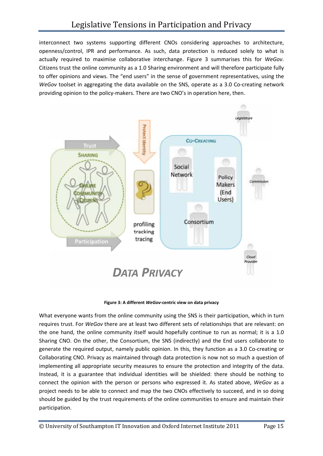interconnect two systems supporting different CNOs considering approaches to architecture, openness/control, IPR and performance. As such, data protection is reduced solely to what is actually required to maximise collaborative interchange. Figure 3 summarises this for *WeGov*. Citizens trust the online community as a 1.0 Sharing environment and will therefore participate fully to offer opinions and views. The "end users" in the sense of government representatives, using the *WeGov* toolset in aggregating the data available on the SNS, operate as a 3.0 Co-creating network providing opinion to the policy-makers. There are two CNO's in operation here, then.



**Figure 3: A different** *WeGov***-centric view on data privacy** 

What everyone wants from the online community using the SNS is their participation, which in turn requires trust. For *WeGov* there are at least two different sets of relationships that are relevant: on the one hand, the online community itself would hopefully continue to run as normal; it is a 1.0 Sharing CNO. On the other, the Consortium, the SNS (indirectly) and the End users collaborate to generate the required output, namely public opinion. In this, they function as a 3.0 Co-creating or Collaborating CNO. Privacy as maintained through data protection is now not so much a question of implementing all appropriate security measures to ensure the protection and integrity of the data. Instead, it is a guarantee that individual identities will be shielded: there should be nothing to connect the opinion with the person or persons who expressed it. As stated above, *WeGov* as a project needs to be able to connect and map the two CNOs effectively to succeed, and in so doing should be guided by the trust requirements of the online communities to ensure and maintain their participation.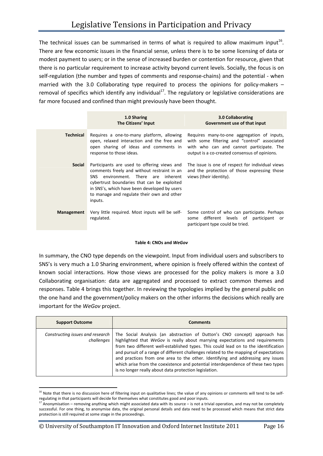The technical issues can be summarised in terms of what is required to allow maximum input<sup>16</sup>. There are few economic issues in the financial sense, unless there is to be some licensing of data or modest payment to users; or in the sense of increased burden or contention for resource, given that there is no particular requirement to increase activity beyond current levels. Socially, the focus is on self-regulation (the number and types of comments and response-chains) and the potential - when married with the 3.0 Collaborating type required to process the opinions for policy-makers – removal of specifics which identify any individual<sup>17</sup>. The regulatory or legislative considerations are far more focused and confined than might previously have been thought.

|                  | 1.0 Sharing<br>The Citizens' Input                                                                                                                                                                                                                                                           | 3.0 Collaborating<br>Government use of that input                                                                                                                                        |
|------------------|----------------------------------------------------------------------------------------------------------------------------------------------------------------------------------------------------------------------------------------------------------------------------------------------|------------------------------------------------------------------------------------------------------------------------------------------------------------------------------------------|
| <b>Technical</b> | Requires a one-to-many platform, allowing<br>open, relaxed interaction and the free and<br>open sharing of ideas and comments in<br>response to those ideas.                                                                                                                                 | Requires many-to-one aggregation of inputs,<br>with some filtering and "control" associated<br>with who can and cannot participate. The<br>output is a co-created consensus of opinions. |
| <b>Social</b>    | Participants are used to offering views and<br>comments freely and without restraint in an<br>SNS<br>environment. There are inherent<br>cybertrust boundaries that can be exploited<br>in SNS's, which have been developed by users<br>to manage and regulate their own and other<br>inputs. | The issue is one of respect for individual views<br>and the protection of those expressing those<br>views (their identity).                                                              |
| Management       | Very little required. Most inputs will be self-<br>regulated.                                                                                                                                                                                                                                | Some control of who can participate. Perhaps<br>different levels of participant<br>some<br>or<br>participant type could be tried.                                                        |

#### **Table 4: CNOs and** *WeGov*

In summary, the CNO type depends on the viewpoint. Input from individual users and subscribers to SNS's is very much a 1.0 Sharing environment, where opinion is freely offered within the context of known social interactions. How those views are processed for the policy makers is more a 3.0 Collaborating organisation: data are aggregated and processed to extract common themes and responses. Table 4 brings this together. In reviewing the typologies implied by the general public on the one hand and the government/policy makers on the other informs the decisions which really are important for the *WeGov* project.

| <b>Support Outcome</b>                         | Comments                                                                                                                                                                                                                                                                                                                                                                                                                                                                                                                                                                     |
|------------------------------------------------|------------------------------------------------------------------------------------------------------------------------------------------------------------------------------------------------------------------------------------------------------------------------------------------------------------------------------------------------------------------------------------------------------------------------------------------------------------------------------------------------------------------------------------------------------------------------------|
| Constructing issues and research<br>challenges | The Social Analysis (an abstraction of Dutton's CNO concept) approach has<br>highlighted that WeGov is really about marrying expectations and requirements<br>from two different well-established types. This could lead on to the identification<br>and pursuit of a range of different challenges related to the mapping of expectations<br>and practices from one area to the other. Identifying and addressing any issues<br>which arise from the coexistence and potential interdependence of these two types<br>is no longer really about data protection legislation. |

<sup>-</sup><sup>16</sup> Note that there is no discussion here of filtering input on qualitative lines; the value of any opinions or comments will tend to be selfregulating in that participants will decide for themselves what constitutes good and poor inputs.

© University of Southampton IT Innovation and Oxford Internet Institute 2011 Page 16

 $17$  Anonymisation – removing anything which might associated data with its source – is not a trivial operation, and may not be completely successful. For one thing, to anonymise data, the original personal details and data need to be processed which means that strict data protection is still required at some stage in the proceedings.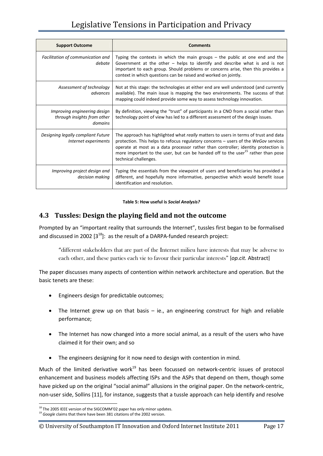# Legislative Tensions in Participation and Privacy

| <b>Support Outcome</b>                                                 | <b>Comments</b>                                                                                                                                                                                                                                                                                                                                                                            |
|------------------------------------------------------------------------|--------------------------------------------------------------------------------------------------------------------------------------------------------------------------------------------------------------------------------------------------------------------------------------------------------------------------------------------------------------------------------------------|
| Facilitation of communication and<br>debate                            | Typing the contexts in which the main groups $-$ the public at one end and the<br>Government at the other $-$ helps to identify and describe what is and is not<br>important to each group. Should problems or concerns arise, then this provides a<br>context in which questions can be raised and worked on jointly.                                                                     |
| Assessment of technology<br>advances                                   | Not at this stage: the technologies at either end are well understood (and currently<br>available). The main issue is mapping the two environments. The success of that<br>mapping could indeed provide some way to assess technology innovation.                                                                                                                                          |
| Improving engineering design<br>through insights from other<br>domains | By definition, viewing the "trust" of participants in a CNO from a social rather than<br>technology point of view has led to a different assessment of the design issues.                                                                                                                                                                                                                  |
| Designing legally compliant Future<br>Internet experiments             | The approach has highlighted what really matters to users in terms of trust and data<br>protection. This helps to refocus regulatory concerns – users of the WeGov services<br>operate at most as a data processor rather than controller; identity protection is<br>more important to the user, but can be handed off to the user <sup>15</sup> rather than pose<br>technical challenges. |
| Improving project design and<br>decision making                        | Typing the essentials from the viewpoint of users and beneficiaries has provided a<br>different, and hopefully more informative, perspective which would benefit issue<br>identification and resolution.                                                                                                                                                                                   |

#### **Table 5: How useful is** *Social Analysis?*

### **4.3 Tussles: Design the playing field and not the outcome**

Prompted by an "important reality that surrounds the Internet", tussles first began to be formalised and discussed in 2002  $[3^{18}]$ : as the result of a DARPA-funded research project:

"different stakeholders that are part of the Internet milieu have interests that may be adverse to each other, and these parties each vie to favour their particular interests" [*op.cit.* Abstract]

The paper discusses many aspects of contention within network architecture and operation. But the basic tenets are these:

- Engineers design for predictable outcomes;
- The Internet grew up on that basis ie., an engineering construct for high and reliable performance;
- The Internet has now changed into a more social animal, as a result of the users who have claimed it for their own; and so
- The engineers designing for it now need to design with contention in mind.

Much of the limited derivative work $19$  has been focussed on network-centric issues of protocol enhancement and business models affecting ISPs and the ASPs that depend on them, though some have picked up on the original "social animal" allusions in the original paper. On the network-centric, non-user side, Sollins [11], for instance, suggests that a tussle approach can help identify and resolve

<sup>&</sup>lt;sup>18</sup> The 2005 IEEE version of the SIGCOMM'02 paper has only minor updates.

<sup>&</sup>lt;sup>19</sup> Google claims that there have been 381 citations of the 2002 version.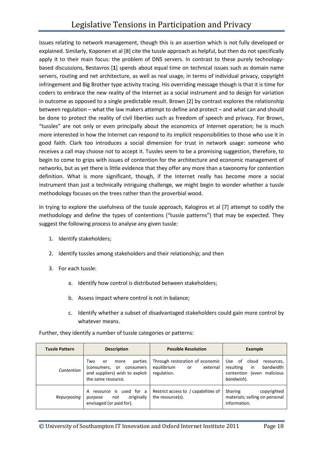issues relating to network management, though this is an assertion which is not fully developed or explained. Similarly, Koponen et al [8] cite the tussle approach as helpful, but then do not specifically apply it to their main focus: the problem of DNS servers. In contrast to these purely technologybased discussions, Bestavros [**1**] spends about equal time on technical issues such as domain name servers, routing and net architecture, as well as real usage, in terms of individual privacy, copyright infringement and Big Brother type activity tracing. His overriding message though is that it is time for coders to embrace the new reality of the Internet as a social instrument and to design for variation in outcome as opposed to a single predictable result. Brown [2] by contrast explores the relationship between regulation – what the law makers attempt to define and protect – and what can and should be done to protect the reality of civil liberties such as freedom of speech and privacy. For Brown, "tussles" are not only or even principally about the economics of Internet operation; he is much more interested in how the Internet can respond to its implicit responsibilities to those who use it in good faith. Clark too introduces a social dimension for trust in network usage: someone who receives a call may choose not to accept it. Tussles seem to be a promising suggestion, therefore, to begin to come to grips with issues of contention for the architecture and economic management of networks, but as yet there is little evidence that they offer any more than a taxonomy for contention definition. What is more significant, though, if the Internet really has become more a social instrument than just a technically intriguing challenge, we might begin to wonder whether a tussle methodology focuses on the trees rather than the proverbial wood.

In trying to explore the usefulness of the tussle approach, Kalogiros et al [7] attempt to codify the methodology and define the types of contentions ("tussle patterns") that may be expected. They suggest the following process to analyse any given tussle:

- 1. Identify stakeholders;
- 2. Identify tussles among stakeholders and their relationship; and then
- 3. For each tussle:
	- a. Identify how control is distributed between stakeholders;
	- b. Assess impact where control is not in balance;
	- c. Identify whether a subset of disadvantaged stakeholders could gain more control by whatever means.

Further, they identify a number of tussle categories or patterns:

| <b>Tussle Pattern</b> | <b>Description</b>                                                                                                     | <b>Possible Resolution</b>                                                      | <b>Example</b>                                                                                            |
|-----------------------|------------------------------------------------------------------------------------------------------------------------|---------------------------------------------------------------------------------|-----------------------------------------------------------------------------------------------------------|
| Contention            | parties<br>Two<br>more<br>or<br>(consumers,<br>consumers<br>or<br>and suppliers) wish to exploit<br>the same resource. | Through restoration of economic<br>equilibrium<br>external<br>or<br>regulation. | Use of<br>cloud<br>resources,<br>bandwidth<br>resulting<br>in<br>contention (even malicious<br>bandwich). |
| Repurposing           | resource is used for a<br>A<br>originally<br>not<br>purpose<br>envisaged (or paid for).                                | Restrict access to / capabilities of<br>the resource(s).                        | Sharing<br>copyrighted<br>materials; selling on personal<br>information.                                  |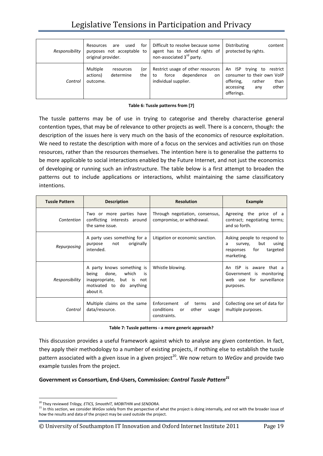# Legislative Tensions in Participation and Privacy

| Responsibility | for<br>used<br>Resources<br>are<br>purposes not acceptable to<br>original provider. | Difficult to resolve because some<br>agent has to defend rights of<br>non-associated 3 <sup>rd</sup> party. | Distributing<br>content<br>protected by rights.                                                                                            |
|----------------|-------------------------------------------------------------------------------------|-------------------------------------------------------------------------------------------------------------|--------------------------------------------------------------------------------------------------------------------------------------------|
| Control        | Multiple<br>(or<br>resources<br>actions)<br>determine<br>the<br>outcome.            | Restrict usage of other resources<br>dependence<br>force<br>on<br>to<br>individual supplier.                | An ISP<br>trying<br>restrict<br>to<br>consumer to their own VoIP<br>than<br>offering,<br>rather<br>other<br>accessing<br>any<br>offerings. |

#### **Table 6: Tussle patterns from [7]**

The tussle patterns may be of use in trying to categorise and thereby characterise general contention types, that may be of relevance to other projects as well. There is a concern, though: the description of the issues here is very much on the basis of the economics of resource exploitation. We need to restate the description with more of a focus on the services and activities run on those resources, rather than the resources themselves. The intention here is to generalise the patterns to be more applicable to social interactions enabled by the Future Internet, and not just the economics of developing or running such an infrastructure. The table below is a first attempt to broaden the patterns out to include applications or interactions, whilst maintaining the same classificatory intentions.

| <b>Tussle Pattern</b> | <b>Description</b>                                                                                                                       | <b>Resolution</b>                                                                              | Example                                                                                                   |
|-----------------------|------------------------------------------------------------------------------------------------------------------------------------------|------------------------------------------------------------------------------------------------|-----------------------------------------------------------------------------------------------------------|
| Contention            | Two or more parties have<br>conflicting interests around<br>the same issue.                                                              | Through negotiation, consensus,<br>compromise, or withdrawal.                                  | Agreeing the price of a<br>contract; negotiating terms;<br>and so forth.                                  |
| Repurposing           | A party uses something for a<br>originally<br>not<br>purpose<br>intended.                                                                | Litigation or economic sanction.                                                               | Asking people to respond to<br>but<br>using<br>survey,<br>a<br>for<br>targeted<br>responses<br>marketing. |
| Responsibility        | A party knows something is<br>which<br>done,<br>being<br>is.<br>inappropriate,<br>but is<br>not<br>motivated to do anything<br>about it. | Whistle blowing.                                                                               | ISP<br>An<br>is<br>aware<br>that a<br>Government is monitoring<br>web use for surveillance<br>purposes.   |
| Control               | Multiple claims on the same<br>data/resource.                                                                                            | Enforcement<br>of<br>terms<br>and<br>conditions<br>other<br><b>or</b><br>usage<br>constraints. | Collecting one set of data for<br>multiple purposes.                                                      |

| Table 7: Tussle patterns - a more generic approach? |  |
|-----------------------------------------------------|--|
|-----------------------------------------------------|--|

This discussion provides a useful framework against which to analyse any given contention. In fact, they apply their methodology to a number of existing projects, if nothing else to establish the tussle pattern associated with a given issue in a given project<sup>20</sup>. We now return to *WeGov* and provide two example tussles from the project.

#### **Government** *vs* **Consortium, End-Users, Commission:** *Control Tussle Pattern<sup>21</sup>*

<sup>20</sup> They reviewed *Trilogy, ETICS, SmoothIT, MOBITHIN* and *SENDORA.*

<sup>&</sup>lt;sup>21</sup> In this section, we consider *WeGov* solely from the perspective of what the project is doing internally, and not with the broader issue of how the results and data of the project may be used outside the project.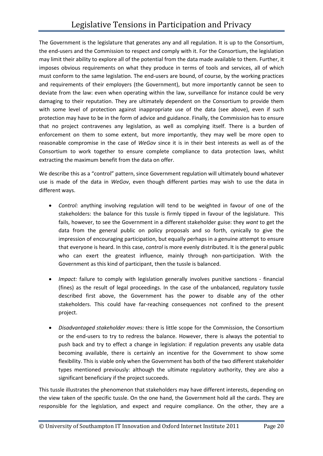The Government is the legislature that generates any and all regulation. It is up to the Consortium, the end-users and the Commission to respect and comply with it. For the Consortium, the legislation may limit their ability to explore all of the potential from the data made available to them. Further, it imposes obvious requirements on what they produce in terms of tools and services, all of which must conform to the same legislation. The end-users are bound, of course, by the working practices and requirements of their employers (the Government), but more importantly cannot be seen to deviate from the law: even when operating within the law, surveillance for instance could be very damaging to their reputation. They are ultimately dependent on the Consortium to provide them with some level of protection against inappropriate use of the data (see above), even if such protection may have to be in the form of advice and guidance. Finally, the Commission has to ensure that no project contravenes any legislation, as well as complying itself. There is a burden of enforcement on them to some extent, but more importantly, they may well be more open to reasonable compromise in the case of *WeGov* since it is in their best interests as well as of the Consortium to work together to ensure complete compliance to data protection laws, whilst extracting the maximum benefit from the data on offer.

We describe this as a "control" pattern, since Government regulation will ultimately bound whatever use is made of the data in *WeGov*, even though different parties may wish to use the data in different ways.

- *Control:* anything involving regulation will tend to be weighted in favour of one of the stakeholders: the balance for this tussle is firmly tipped in favour of the legislature. This fails, however, to see the Government in a different stakeholder guise: they *want* to get the data from the general public on policy proposals and so forth, cynically to give the impression of encouraging participation, but equally perhaps in a genuine attempt to ensure that everyone is heard. In this case, *control* is more evenly distributed. It is the general public who can exert the greatest influence, mainly through non-participation. With the Government as this kind of participant, then the tussle is balanced.
- *Impact:* failure to comply with legislation generally involves punitive sanctions financial (fines) as the result of legal proceedings. In the case of the unbalanced, regulatory tussle described first above, the Government has the power to disable any of the other stakeholders. This could have far-reaching consequences not confined to the present project.
- *Disadvantaged stakeholder moves:* there is little scope for the Commission, the Consortium or the end-users to try to redress the balance. However, there is always the potential to push back and try to effect a change in legislation: if regulation prevents any usable data becoming available, there is certainly an incentive for the Government to show some flexibility. This is viable only when the Government has both of the two different stakeholder types mentioned previously: although the ultimate regulatory authority, they are also a significant beneficiary if the project succeeds.

This tussle illustrates the phenomenon that stakeholders may have different interests, depending on the view taken of the specific tussle. On the one hand, the Government hold all the cards. They are responsible for the legislation, and expect and require compliance. On the other, they are a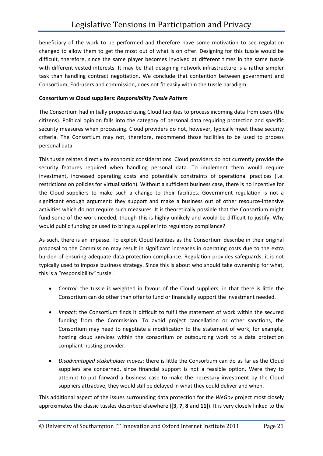beneficiary of the work to be performed and therefore have some motivation to see regulation changed to allow them to get the most out of what is on offer. Designing for this tussle would be difficult, therefore, since the same player becomes involved at different times in the same tussle with different vested interests. It may be that designing network infrastructure is a rather simpler task than handling contract negotiation. We conclude that contention between government and Consortium, End-users and commission, does not fit easily within the tussle paradigm.

#### **Consortium vs Cloud suppliers:** *Responsibility Tussle Pattern*

The Consortium had initially proposed using Cloud facilities to process incoming data from users (the citizens). Political opinion falls into the category of personal data requiring protection and specific security measures when processing. Cloud providers do not, however, typically meet these security criteria. The Consortium may not, therefore, recommend those facilities to be used to process personal data.

This tussle relates directly to economic considerations. Cloud providers do not currently provide the security features required when handling personal data. To implement them would require investment, increased operating costs and potentially constraints of operational practices (i.e. restrictions on policies for virtualisation). Without a sufficient business case, there is no incentive for the Cloud suppliers to make such a change to their facilities. Government regulation is not a significant enough argument: they support and make a business out of other resource-intensive activities which do not require such measures. It is theoretically possible that the Consortium might fund some of the work needed, though this is highly unlikely and would be difficult to justify. Why would public funding be used to bring a supplier into regulatory compliance?

As such, there is an impasse. To exploit Cloud facilities as the Consortium describe in their original proposal to the Commission may result in significant increases in operating costs due to the extra burden of ensuring adequate data protection compliance. Regulation provides safeguards; it is not typically used to impose business strategy. Since this is about who should take ownership for what, this is a "responsibility" tussle.

- *Control*: the tussle is weighted in favour of the Cloud suppliers, in that there is little the Consortium can do other than offer to fund or financially support the investment needed.
- *Impact*: the Consortium finds it difficult to fulfil the statement of work within the secured funding from the Commission. To avoid project cancellation or other sanctions, the Consortium may need to negotiate a modification to the statement of work, for example, hosting cloud services within the consortium or outsourcing work to a data protection compliant hosting provider.
- *Disadvantaged stakeholder moves*: there is little the Consortium can do as far as the Cloud suppliers are concerned, since financial support is not a feasible option. Were they to attempt to put forward a business case to make the necessary investment by the Cloud suppliers attractive, they would still be delayed in what they could deliver and when.

This additional aspect of the issues surrounding data protection for the *WeGov* project most closely approximates the classic tussles described elsewhere ([**3**, **7**, **8** and **11**]). It is very closely linked to the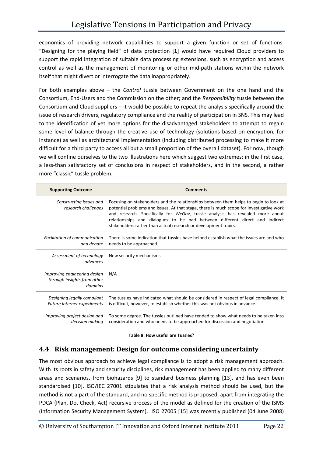economics of providing network capabilities to support a given function or set of functions. "Designing for the playing field" of data protection [**1**] would have required Cloud providers to support the rapid integration of suitable data processing extensions, such as encryption and access control as well as the management of monitoring or other mid-path stations within the network itself that might divert or interrogate the data inappropriately.

For both examples above – the *Control* tussle between Government on the one hand and the Consortium, End-Users and the Commission on the other; and the *Responsibility* tussle between the Consortium and Cloud suppliers – it would be possible to repeat the analysis specifically around the issue of research drivers, regulatory compliance and the reality of participation in SNS. This may lead to the identification of yet more options for the disadvantaged stakeholders to attempt to regain some level of balance through the creative use of technology (solutions based on encryption, for instance) as well as architectural implementation (including distributed processing to make it more difficult for a third party to access all but a small proportion of the overall dataset). For now, though we will confine ourselves to the two illustrations here which suggest two extremes: in the first case, a less-than satisfactory set of conclusions in respect of stakeholders, and in the second, a rather more "classic" tussle problem.

| <b>Supporting Outcome</b>                                              | <b>Comments</b>                                                                                                                                                                                                                                                                                                                                                                                                      |
|------------------------------------------------------------------------|----------------------------------------------------------------------------------------------------------------------------------------------------------------------------------------------------------------------------------------------------------------------------------------------------------------------------------------------------------------------------------------------------------------------|
| Constructing issues and<br>research challenges                         | Focusing on stakeholders and the relationships between them helps to begin to look at<br>potential problems and issues. At that stage, there is much scope for investigative work<br>and research. Specifically for WeGov, tussle analysis has revealed more about<br>relationships and dialogues to be had between different direct and indirect<br>stakeholders rather than actual research or development topics. |
| Facilitation of communication<br>and debate                            | There is some indication that tussles have helped establish what the issues are and who<br>needs to be approached.                                                                                                                                                                                                                                                                                                   |
| Assessment of technology<br>advances                                   | New security mechanisms.                                                                                                                                                                                                                                                                                                                                                                                             |
| Improving engineering design<br>through insights from other<br>domains | N/A                                                                                                                                                                                                                                                                                                                                                                                                                  |
| Designing legally compliant<br>Future Internet experiments             | The tussles have indicated what should be considered in respect of legal compliance. It<br>is difficult, however, to establish whether this was not obvious in advance.                                                                                                                                                                                                                                              |
| Improving project design and<br>decision making                        | To some degree. The tussles outlined have tended to show what needs to be taken into<br>consideration and who needs to be approached for discussion and negotiation.                                                                                                                                                                                                                                                 |

**Table 8: How useful are Tussles?** 

### **4.4 Risk management: Design for outcome considering uncertainty**

The most obvious approach to achieve legal compliance is to adopt a risk management approach. With its roots in safety and security disciplines, risk management has been applied to many different areas and scenarios, from biohazards [9] to standard business planning [13], and has even been standardised [10]. ISO/IEC 27001 stipulates that a risk analysis method should be used, but the method is not a part of the standard, and no specific method is proposed, apart from integrating the PDCA (Plan, Do, Check, Act) recursive process of the model as defined for the creation of the ISMS (Information Security Management System). ISO 27005 [15] was recently published (04 June 2008)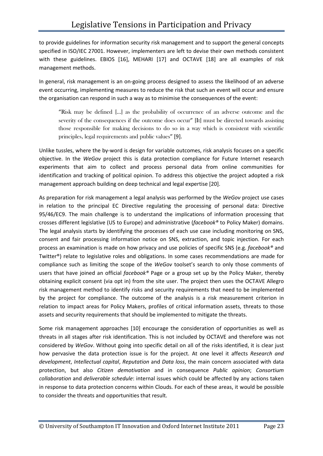to provide guidelines for information security risk management and to support the general concepts specified in ISO/IEC 27001. However, implementers are left to devise their own methods consistent with these guidelines. EBIOS [16], MEHARI [17] and OCTAVE [18] are all examples of risk management methods.

In general, risk management is an on-going process designed to assess the likelihood of an adverse event occurring, implementing measures to reduce the risk that such an event will occur and ensure the organisation can respond in such a way as to minimise the consequences of the event:

"Risk may be defined […] as the probability of occurrence of an adverse outcome and the severity of the consequences if the outcome does occur" [It] must be directed towards assisting those responsible for making decisions to do so in a way which is consistent with scientific principles, legal requirements and public values" [9].

Unlike tussles, where the by-word is design for variable outcomes, risk analysis focuses on a specific objective. In the *WeGov* project this is data protection compliance for Future Internet research experiments that aim to collect and process personal data from online communities for identification and tracking of political opinion. To address this objective the project adopted a risk management approach building on deep technical and legal expertise [20].

As preparation for risk management a legal analysis was performed by the *WeGov* project use cases in relation to the principal EC Directive regulating the processing of personal data: Directive 95/46/EC9. The main challenge is to understand the implications of information processing that crosses different legislative (US to Europe) and administrative (*facebook®* to Policy Maker) domains. The legal analysis starts by identifying the processes of each use case including monitoring on SNS, consent and fair processing information notice on SNS, extraction, and topic injection. For each process an examination is made on how privacy and use policies of specific SNS (e.g. *facebook®* and Twitter®) relate to legislative roles and obligations. In some cases recommendations are made for compliance such as limiting the scope of the *WeGov* toolset's search to only those comments of users that have joined an official *facebook®* Page or a group set up by the Policy Maker, thereby obtaining explicit consent (via opt in) from the site user. The project then uses the OCTAVE Allegro risk management method to identify risks and security requirements that need to be implemented by the project for compliance. The outcome of the analysis is a risk measurement criterion in relation to impact areas for Policy Makers, profiles of critical information assets, threats to those assets and security requirements that should be implemented to mitigate the threats.

Some risk management approaches [10] encourage the consideration of opportunities as well as threats in all stages after risk identification. This is not included by OCTAVE and therefore was not considered by *WeGov*. Without going into specific detail on all of the risks identified, it is clear just how pervasive the data protection issue is for the project. At one level it affects *Research and development*, *Intellectual capital*, *Reputation* and *Data loss*, the main concern associated with data protection, but also *Citizen demotivation* and in consequence *Public opinion*; *Consortium collaboration* and *deliverable schedule*: internal issues which could be affected by any actions taken in response to data protection concerns within Clouds. For each of these areas, it would be possible to consider the threats and opportunities that result.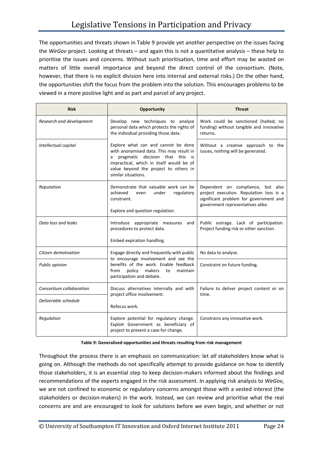The opportunities and threats shown in Table 9 provide yet another perspective on the issues facing the *WeGov* project. Looking at threats – and again this is not a quantitative analysis – these help to prioritise the issues and concerns. Without such prioritisation, time and effort may be wasted on matters of little overall importance and beyond the direct control of the consortium. (Note, however, that there is no explicit division here into internal and external risks.) On the other hand, the opportunities shift the focus from the problem into the solution. This encourages problems to be viewed in a more positive light and as part and parcel of any project.

| <b>Risk</b>              | Opportunity                                                                                                                                                                                                                         | <b>Threat</b>                                                                                                                                               |  |
|--------------------------|-------------------------------------------------------------------------------------------------------------------------------------------------------------------------------------------------------------------------------------|-------------------------------------------------------------------------------------------------------------------------------------------------------------|--|
| Research and development | Develop new techniques to analyse<br>personal data which protects the rights of<br>the individual providing those data.                                                                                                             | Work could be sanctioned (halted; no<br>funding) without tangible and innovative<br>returns.                                                                |  |
| Intellectual capital     | Explore what can and cannot be done<br>with anonymised data. This may result in<br>pragmatic decision that this is<br>a<br>impractical, which in itself would be of<br>value beyond the project to others in<br>similar situations. | Without a creative approach to the<br>issues, nothing will be generated.                                                                                    |  |
| Reputation               | Demonstrate that valuable work can be<br>achieved<br>under<br>regulatory<br>even<br>constraint.<br>Explore and question regulation.                                                                                                 | Dependent on compliance, but also<br>project execution. Reputation loss is a<br>significant problem for government and<br>government representatives alike. |  |
| Data loss and leaks      | Introduce appropriate measures<br>and<br>procedures to protect data.<br>Embed expiration handling.                                                                                                                                  | Public outrage. Lack of participation.<br>Project funding risk or other sanction.                                                                           |  |
| Citizen demotivation     | Engage directly and frequently with public                                                                                                                                                                                          | No data to analyse.                                                                                                                                         |  |
| Public opinion           | to encourage involvement and see the<br>benefits of the work. Enable feedback<br>policy<br>makers<br>from<br>to<br>maintain<br>participation and debate.                                                                            | Constraint on future funding.                                                                                                                               |  |
| Consortium collaboration | Discuss alternatives internally and with                                                                                                                                                                                            | Failure to deliver project content or on                                                                                                                    |  |
| Deliverable schedule     | project office involvement.<br>Refocus work.                                                                                                                                                                                        | time.                                                                                                                                                       |  |
| Regulation               | Explore potential for regulatory change.<br>Exploit Government as beneficiary of<br>project to present a case for change.                                                                                                           | Constrains any innovative work.                                                                                                                             |  |

#### **Table 9: Generalised opportunities and threats resulting from risk management**

Throughout the process there is an emphasis on communication: let *all* stakeholders know what is going on. Although the methods do not specifically attempt to provide guidance on how to identify those stakeholders, it is an essential step to keep decision-makers informed about the findings and recommendations of the experts engaged in the risk assessment. In applying risk analysis to *WeGov*, we are not confined to economic or regulatory concerns amongst those with a vested interest (the stakeholders or decision-makers) in the work. Instead, we can review and prioritise what the real concerns are and are encouraged to look for solutions before we even begin, and whether or not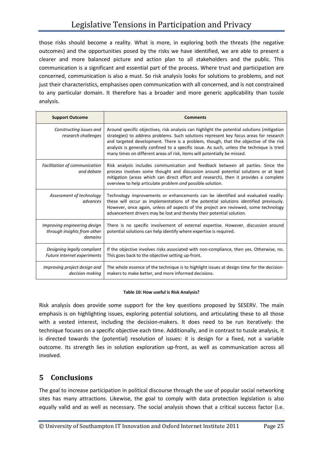those risks should become a reality. What is more, in exploring both the threats (the negative outcomes) and the opportunities posed by the risks we have identified, we are able to present a clearer and more balanced picture and action plan to all stakeholders and the public. This communication is a significant and essential part of the process. Where trust and participation are concerned, communication is also a must. So risk analysis looks for solutions to problems, and not just their characteristics, emphasises open communication with all concerned, and is not constrained to any particular domain. It therefore has a broader and more generic applicability than tussle analysis.

| <b>Support Outcome</b>                                                 | <b>Comments</b>                                                                                                                                                                                                                                                                                                                                                                                                                                         |  |
|------------------------------------------------------------------------|---------------------------------------------------------------------------------------------------------------------------------------------------------------------------------------------------------------------------------------------------------------------------------------------------------------------------------------------------------------------------------------------------------------------------------------------------------|--|
| Constructing issues and<br>research challenges                         | Around specific objectives, risk analysis can highlight the potential solutions (mitigation<br>strategies) to address problems. Such solutions represent key focus areas for research<br>and targeted development. There is a problem, though, that the objective of the risk<br>analysis is generally confined to a specific issue. As such, unless the technique is tried<br>many times on different areas of risk, items will potentially be missed. |  |
| Facilitation of communication<br>and debate                            | Risk analysis includes communication and feedback between all parties. Since the<br>process involves some thought and discussion around potential solutions or at least<br>mitigation (areas which can direct effort and research), then it provides a complete<br>overview to help articulate problem and possible solution.                                                                                                                           |  |
| Assessment of technology<br>advances                                   | Technology improvements or enhancements can be identified and evaluated readily:<br>these will occur as implementations of the potential solutions identified previously.<br>However, once again, unless all aspects of the project are reviewed, some technology<br>advancement drivers may be lost and thereby their potential solution.                                                                                                              |  |
| Improving engineering design<br>through insights from other<br>domains | There is no specific involvement of external expertise. However, discussion around<br>potential solutions can help identify where expertise is required.                                                                                                                                                                                                                                                                                                |  |
| Designing legally compliant<br>Future Internet experiments             | If the objective involves risks associated with non-compliance, then yes. Otherwise, no.<br>This goes back to the objective setting up-front.                                                                                                                                                                                                                                                                                                           |  |
| Improving project design and<br>decision making                        | The whole essence of the technique is to highlight issues at design time for the decision-<br>makers to make better, and more informed decisions.                                                                                                                                                                                                                                                                                                       |  |

#### **Table 10: How useful is Risk Analysis?**

Risk analysis does provide some support for the key questions proposed by SESERV. The main emphasis is on highlighting issues, exploring potential solutions, and articulating these to all those with a vested interest, including the decision-makers. It does need to be run iteratively: the technique focuses on a specific objective each time. Additionally, and in contrast to tussle analysis, it is directed towards the (potential) resolution of issues: it is design for a fixed, not a variable outcome. Its strength lies in solution exploration up-front, as well as communication across all involved.

### **5 Conclusions**

The goal to increase participation in political discourse through the use of popular social networking sites has many attractions. Likewise, the goal to comply with data protection legislation is also equally valid and as well as necessary. The social analysis shows that a critical success factor (i.e.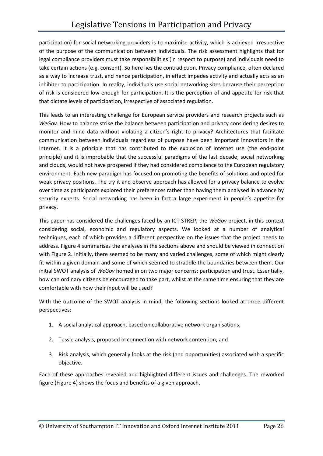participation) for social networking providers is to maximise activity, which is achieved irrespective of the purpose of the communication between individuals. The risk assessment highlights that for legal compliance providers must take responsibilities (in respect to purpose) and individuals need to take certain actions (e.g. consent). So here lies the contradiction. Privacy compliance, often declared as a way to increase trust, and hence participation, in effect impedes activity and actually acts as an inhibiter to participation. In reality, individuals use social networking sites because their perception of risk is considered low enough for participation. It is the perception of and appetite for risk that that dictate levels of participation, irrespective of associated regulation.

This leads to an interesting challenge for European service providers and research projects such as *WeGov*. How to balance strike the balance between participation and privacy considering desires to monitor and mine data without violating a citizen's right to privacy? Architectures that facilitate communication between individuals regardless of purpose have been important innovators in the Internet. It is a principle that has contributed to the explosion of Internet use (the end-point principle) and it is improbable that the successful paradigms of the last decade, social networking and clouds, would not have prospered if they had considered compliance to the European regulatory environment. Each new paradigm has focused on promoting the benefits of solutions and opted for weak privacy positions. The try it and observe approach has allowed for a privacy balance to evolve over time as participants explored their preferences rather than having them analysed in advance by security experts. Social networking has been in fact a large experiment in people's appetite for privacy.

This paper has considered the challenges faced by an ICT STREP, the *WeGov* project, in this context considering social, economic and regulatory aspects. We looked at a number of analytical techniques, each of which provides a different perspective on the issues that the project needs to address. Figure 4 summarises the analyses in the sections above and should be viewed in connection with Figure 2. Initially, there seemed to be many and varied challenges, some of which might clearly fit within a given domain and some of which seemed to straddle the boundaries between them. Our initial SWOT analysis of *WeGov* homed in on two major concerns: participation and trust. Essentially, how can ordinary citizens be encouraged to take part, whilst at the same time ensuring that they are comfortable with how their input will be used?

With the outcome of the SWOT analysis in mind, the following sections looked at three different perspectives:

- 1. A social analytical approach, based on collaborative network organisations;
- 2. Tussle analysis, proposed in connection with network contention; and
- 3. Risk analysis, which generally looks at the risk (and opportunities) associated with a specific objective.

Each of these approaches revealed and highlighted different issues and challenges. The reworked figure (Figure 4) shows the focus and benefits of a given approach.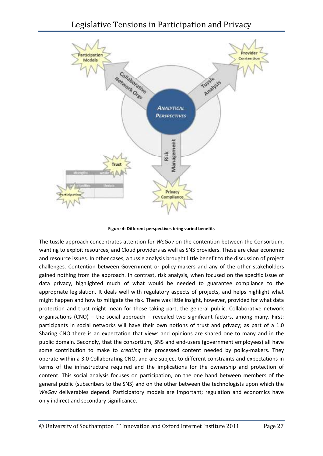

**Figure 4: Different perspectives bring varied benefits** 

The tussle approach concentrates attention for *WeGov* on the contention between the Consortium, wanting to exploit resources, and Cloud providers as well as SNS providers. These are clear economic and resource issues. In other cases, a tussle analysis brought little benefit to the discussion of project challenges. Contention between Government or policy-makers and any of the other stakeholders gained nothing from the approach. In contrast, risk analysis, when focused on the specific issue of data privacy, highlighted much of what would be needed to guarantee compliance to the appropriate legislation. It deals well with regulatory aspects of projects, and helps highlight what might happen and how to mitigate the risk. There was little insight, however, provided for what data protection and trust might mean for those taking part, the general public. Collaborative network organisations (CNO) – the social approach – revealed two significant factors, among many. First: participants in social networks will have their own notions of trust and privacy; as part of a 1.0 Sharing CNO there is an expectation that views and opinions are shared one to many and in the public domain. Secondly, that the consortium, SNS and end-users (government employees) all have some contribution to make to *creating* the processed content needed by policy-makers. They operate within a 3.0 Collaborating CNO, and are subject to different constraints and expectations in terms of the infrastructure required and the implications for the ownership and protection of content. This social analysis focuses on participation, on the one hand between members of the general public (subscribers to the SNS) and on the other between the technologists upon which the *WeGov* deliverables depend. Participatory models are important; regulation and economics have only indirect and secondary significance.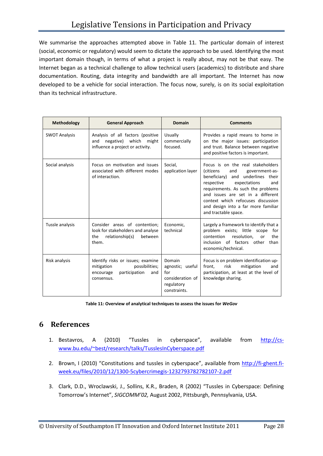We summarise the approaches attempted above in Table 11. The particular domain of interest (social, economic or regulatory) would seem to dictate the approach to be used. Identifying the most important domain though, in terms of what a project is really about, may not be that easy. The Internet began as a technical challenge to allow technical users (academics) to distribute and share documentation. Routing, data integrity and bandwidth are all important. The Internet has now developed to be a vehicle for social interaction. The focus now, surely, is on its social exploitation than its technical infrastructure.

| <b>Methodology</b>   | <b>General Approach</b>                                                                                              | Domain                                                                              | <b>Comments</b>                                                                                                                                                                                                                                                                                                                              |
|----------------------|----------------------------------------------------------------------------------------------------------------------|-------------------------------------------------------------------------------------|----------------------------------------------------------------------------------------------------------------------------------------------------------------------------------------------------------------------------------------------------------------------------------------------------------------------------------------------|
| <b>SWOT Analysis</b> | Analysis of all factors (positive<br>which<br>negative)<br>might<br>and<br>influence a project or activity.          | Usually<br>commercially<br>focused.                                                 | Provides a rapid means to home in<br>on the major issues: participation<br>and trust. Balance between negative<br>and positive factors is important.                                                                                                                                                                                         |
| Social analysis      | Focus on motivation and issues<br>associated with different modes<br>of interaction.                                 | Social.<br>application layer                                                        | Focus is on the real stakeholders<br><i>(citizens)</i><br>and<br>government-as-<br>underlines their<br>beneficiary) and<br>expectations<br>respective<br>and<br>requirements. As such the problems<br>and issues are set in a different<br>context which refocuses discussion<br>and design into a far more familiar<br>and tractable space. |
| Tussle analysis      | Consider areas of contention;<br>look for stakeholders and analyse<br>relationship(s)<br>the<br>between<br>them.     | Economic,<br>technical                                                              | Largely a framework to identify that a<br>problem exists; little scope<br>for<br>contention<br>resolution.<br>the<br>or<br>inclusion of factors other<br>than<br>economic/technical.                                                                                                                                                         |
| Risk analysis        | Identify risks or issues; examine<br>possibilities;<br>mitigation<br>participation<br>encourage<br>and<br>consensus. | Domain<br>agnostic; useful<br>for<br>consideration of<br>regulatory<br>constraints. | Focus is on problem identification up-<br>front.<br>risk<br>mitigation<br>and<br>participation, at least at the level of<br>knowledge sharing.                                                                                                                                                                                               |

**Table 11: Overview of analytical techniques to assess the issues for** *WeGov* 

### **6 References**

- 1. Bestavros, A (2010) "Tussles in cyberspace", available from http://cswww.bu.edu/~best/research/talks/TusslesInCyberspace.pdf
- 2. Brown, I (2010) "Constitutions and tussles in cyberspace", available from http://fi-ghent.fiweek.eu/files/2010/12/1300-5cybercrimegis-1232793782782107-2.pdf
- 3. Clark, D.D., Wroclawski, J., Sollins, K.R., Braden, R (2002) "Tussles in Cyberspace: Defining Tomorrow's Internet", *SIGCOMM'02,* August 2002, Pittsburgh, Pennsylvania, USA.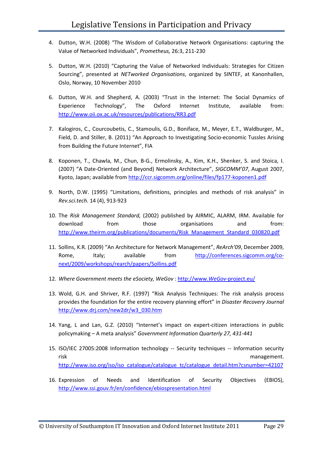- 4. Dutton, W.H. (2008) "The Wisdom of Collaborative Network Organisations: capturing the Value of Networked Individuals", *Prometheus,* 26:3, 211-230
- 5. Dutton, W.H. (2010) "Capturing the Value of Networked Individuals: Strategies for Citizen Sourcing", presented at *NETworked Organisations*, organized by SINTEF, at Kanonhallen, Oslo, Norway, 10 November 2010
- 6. Dutton, W.H. and Shepherd, A. (2003) "Trust in the Internet: The Social Dynamics of Experience Technology", The Oxford Internet Institute, available from: http://www.oii.ox.ac.uk/resources/publications/RR3.pdf
- 7. Kalogiros, C., Courcoubetis, C., Stamoulis, G.D., Boniface, M., Meyer, E.T., Waldburger, M., Field, D. and Stiller, B. (2011) "An Approach to Investigating Socio-economic Tussles Arising from Building the Future Internet", FIA
- 8. Koponen, T., Chawla, M., Chun, B-G., Ermolinsky, A., Kim, K.H., Shenker, S. and Stoica, I. (2007) "A Date-Oriented (and Beyond) Network Architecture", *SIGCOMM'07*, August 2007, Kyoto, Japan; available from http://ccr.sigcomm.org/online/files/fp177-koponen1.pdf
- 9. North, D.W. (1995) "Limitations, definitions, principles and methods of risk analysis" in *Rev.sci.tech.* 14 (4), 913-923
- 10. The *Risk Management Standard,* (2002) published by AIRMIC, ALARM, IRM. Available for download from those organisations and from: http://www.theirm.org/publications/documents/Risk\_Management\_Standard\_030820.pdf
- 11. Sollins, K.R. (2009) "An Architecture for Network Management", *ReArch'09*, December 2009, Rome, Italy; available from http://conferences.sigcomm.org/conext/2009/workshops/rearch/papers/Sollins.pdf
- 12. *Where Government meets the eSociety, WeGov* : http://www.*WeGov*-project.eu/
- 13. Wold, G.H. and Shriver, R.F. (1997) "Risk Analysis Techniques: The risk analysis process provides the foundation for the entire recovery planning effort" in *Disaster Recovery Journal* http://www.drj.com/new2dr/w3\_030.htm
- 14. Yang, L and Lan, G.Z. (2010) "Internet's impact on expert-citizen interactions in public policymaking – A meta analysis" *Government Information Quarterly 27, 431-441*
- 15. ISO/IEC 27005:2008 Information technology -- Security techniques -- Information security risk management. http://www.iso.org/iso/iso\_catalogue/catalogue\_tc/catalogue\_detail.htm?csnumber=42107
- 16. Expression of Needs and Identification of Security Objectives (EBIOS), http://www.ssi.gouv.fr/en/confidence/ebiospresentation.html